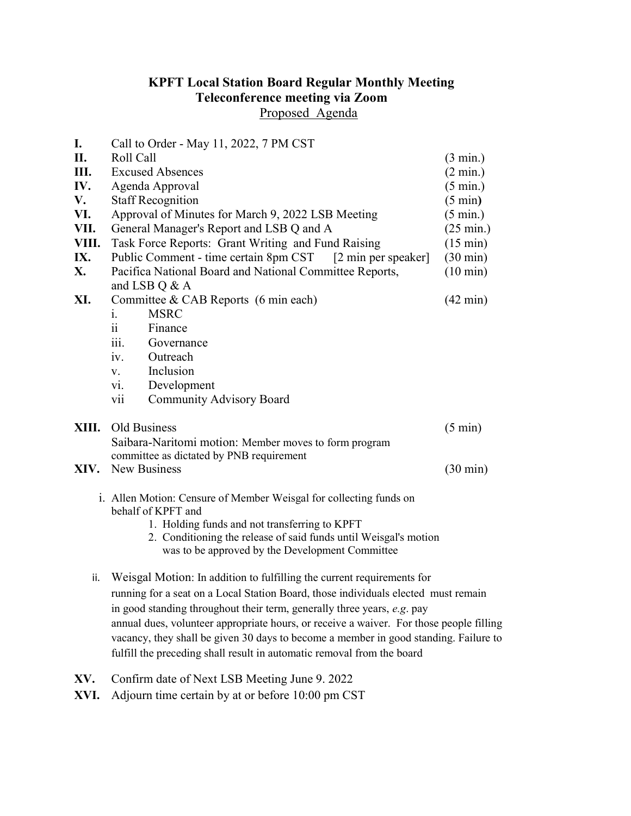## KPFT Local Station Board Regular Monthly Meeting Teleconference meeting via Zoom

Proposed Agenda

| I.<br>II. | Call to Order - May 11, 2022, 7 PM CST<br>Roll Call                                     | $(3 \text{ min.})$  |
|-----------|-----------------------------------------------------------------------------------------|---------------------|
| Ш.        | <b>Excused Absences</b>                                                                 | $(2 \text{ min.})$  |
| IV.       | Agenda Approval                                                                         | $(5 \text{ min.})$  |
| V.        | <b>Staff Recognition</b>                                                                | $(5 \text{ min})$   |
| VI.       | Approval of Minutes for March 9, 2022 LSB Meeting                                       |                     |
| VII.      |                                                                                         | $(5 \text{ min.})$  |
| VIII.     | General Manager's Report and LSB Q and A                                                | $(25 \text{ min.})$ |
|           | Task Force Reports: Grant Writing and Fund Raising                                      | $(15 \text{ min})$  |
| IX.       | Public Comment - time certain 8pm CST [2 min per speaker]                               | $(30 \text{ min})$  |
| <b>X.</b> | Pacifica National Board and National Committee Reports,                                 | $(10 \text{ min})$  |
|           | and LSB Q & A                                                                           |                     |
| XI.       | Committee & CAB Reports (6 min each)                                                    | $(42 \text{ min})$  |
|           | <b>MSRC</b><br>i.                                                                       |                     |
|           | $\ddot{i}$<br>Finance                                                                   |                     |
|           | Governance<br>111.                                                                      |                     |
|           | Outreach<br>iv.                                                                         |                     |
|           | Inclusion<br>V.                                                                         |                     |
|           | Development<br>V1.                                                                      |                     |
|           | <b>Community Advisory Board</b><br>V11                                                  |                     |
| XIII.     | Old Business                                                                            | $(5 \text{ min})$   |
|           | Saibara-Naritomi motion: Member moves to form program                                   |                     |
|           | committee as dictated by PNB requirement                                                |                     |
| XIV.      | New Business                                                                            | $(30 \text{ min})$  |
|           |                                                                                         |                     |
|           | i. Allen Motion: Censure of Member Weisgal for collecting funds on                      |                     |
|           | behalf of KPFT and                                                                      |                     |
|           | 1. Holding funds and not transferring to KPFT                                           |                     |
|           | 2. Conditioning the release of said funds until Weisgal's motion                        |                     |
|           | was to be approved by the Development Committee                                         |                     |
| ii.       | Weisgal Motion: In addition to fulfilling the current requirements for                  |                     |
|           | running for a seat on a Local Station Board, those individuals elected must remain      |                     |
|           | in good standing throughout their term, generally three years, e.g. pay                 |                     |
|           | annual dues, volunteer appropriate hours, or receive a waiver. For those people filling |                     |

 annual dues, volunteer appropriate hours, or receive a waiver. For those people filling vacancy, they shall be given 30 days to become a member in good standing. Failure to fulfill the preceding shall result in automatic removal from the board

- XV. Confirm date of Next LSB Meeting June 9. 2022
- XVI. Adjourn time certain by at or before 10:00 pm CST